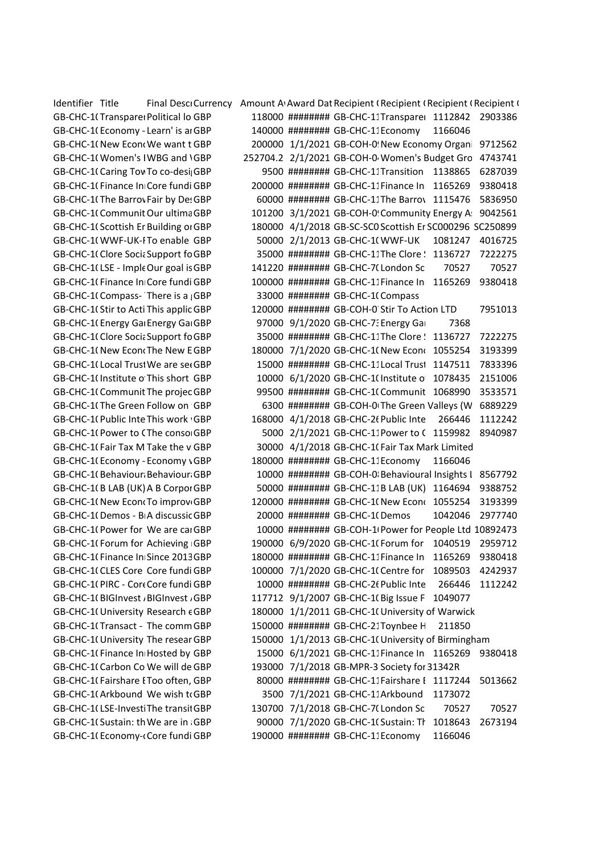Identifier Title Final Descricurrency Amount Award Dat Recipient (Recipient (Recipient Crecipient Crecipient C GB-CHC-1(Transpareı Political lo GBP 118000 ######## GB-CHC-11Transpareı 1112842 2903386 GB-CHC-1(Economy - Learn' is ai GBP and 140000 ######## GB-CHC-11Economy 1166046 GB-CHC-1(New Econ(We want t GBP  $\qquad \qquad$  200000  $\qquad1/1/2021$  GB-COH-0! New Economy Organi 9712562 GB-CHC-1(Women's IWBG and \GBP 252704.2 2/1/2021 GB-COH-0 Women's Budget Gro 4743741 GB-CHC-1(Caring Tov To co-desi; GBP 69500 ######### GB-CHC-11Transition 1138865 6287039 GB-CHC-10 Finance In Core fundi GBP 200000 ######## GB-CHC-11 Finance In 1165269 9380418 GB-CHC-1(The Barrov Fair by De: GBP 60000 ######## GB-CHC-11The Barrov 1115476 5836950 GB-CHC-1087053-0060X00000mI6XK Community Energy Association (England) Ltd-Transitioning to a fairer, decentralised, decarbonised & democratic energy system Our ultimate aim is to increase community energy's contribution to the transition to a fairer, decentralised, decarbonised and democratic low-carbon economy. We want to achieve this by building upon our existing activities to increase the impact of our advocacy at national and regional levels in order to create more supportive policies to encourage and facilitate community-led energy projects and remove structural barriers. We want to further develop our strategy and expertise to more effectively tailor our messaging and identify new avenues of influence, as well as strengthening our voice to help create the conditions for community energy to more easily form, and implement projects that help to transform their local communities. GBP 101200 3/1/2021 GB-COH-09042561 Community Energy Association (England) Ltd 9042561 GB-CHC-1(Scottish Er Building or GBP 180000 4/1/2018 GB-SC-SC0 Scottish Er SC000296 SC250899 GB-CHC-1(WWF-UK-ITo enable GBP 50000 2/1/2013 GB-CHC-1(WWF-UK 1081247 4016725 GB-CHC-10 Clore Socia Support for GBP 35000 ######## GB-CHC-11 The Clore Step 1136727 7222275 GB-CHC-1(LSE - Imple Our goal is GBP 141220 ######## GB-CHC-7(London Sc 70527 70527 GB-CHC-1(Finance In Core fundi GBP 100000 ######## GB-CHC-11Finance In 1165269 9380418 GB-CHC-1( Compass- There is a <sub>i</sub>GBP 33000 ######## GB-CHC-1( Compass GB-CHC-1(Stir to Acti This applic GBP 120000 ######## GB-COH-0 Stir To Action LTD 7951013 GB-CHC-1( Energy Gai Energy Gai GBP 97000 9/1/2020 GB-CHC-7: Energy Gai 7368 GB-CHC-1(Clore Socia Support for GBP 35000 ######## GB-CHC-11The Clore State 1136727 7222275 GB-CHC-1( New Econ‹The New EGBP 180000 7/1/2020 GB-CHC-1( New Econ‹ 1055254 3193399 GB-CHC-1(Local Trusi We are set GBP  $\qquad \qquad$  15000 ######## GB-CHC-11Local Trusi 1147511 7833396 GB-CHC-1(Institute o This short GBP 10000 6/1/2020 GB-CHC-1(Institute o 1078435 2151006 GB-CHC-1(Communit The projec GBP 99500 ######## GB-CHC-1(Communit 1068990 3533571 GB-CHC-1(The Green Follow on GBP 6300 ######## GB-COH-0(The Green Valleys (W 6889229 GB-CHC-1(Public Inte This work GBP 168000 4/1/2018 GB-CHC-2(Public Inte 266446 1112242 GB-CHC-1(Power to (The conso GBP 5000 2/1/2021 GB-CHC-11Power to (1159982 8940987 GB-CHC-1(Fair Tax M Take the v GBP 30000 4/1/2018 GB-CHC-1(Fair Tax Mark Limited GB-CHC-1(Economy - Economy \ GBP 180000 ######## GB-CHC-11Economy 1166046 GB-CHC-1(Behaviour:Behaviour:GBP 10000 ######## GB-COH-0:Behavioural Insights l 8567792 GB-CHC-1(B LAB (UK) A B Corpor GBP 50000 ######## GB-CHC-11B LAB (UK) 1164694 9388752 GB-CHC-1(New Econ(To improv GBP 120000 ######## GB-CHC-1(New Econ( 1055254 3193399 GB-CHC-1(Demos - BIA discussic GBP 20000 ######## GB-CHC-1(Demos 1042046 2977740 GB-CHC-1(Power for We are cai GBP 10000 ######## GB-COH-1I Power for People Ltd 10892473 GB-CHC-1(Forum for Achieving GBP 190000 6/9/2020 GB-CHC-1(Forum for 1040519 2959712 GB-CHC-1(Finance In Since 2013 GBP 180000 ######## GB-CHC-11Finance In 1165269 9380418 GB-CHC-1(CLES Core Core fundi GBP 100000 7/1/2020 GB-CHC-1( Centre for 1089503 4242937 GB-CHC-1(PIRC - Core Core fundi GBP 10000 ######## GB-CHC-26 Public Inte 266446 1112242 GB-CHC-1(BIGInvest ABIGInvest AGBP 117712 9/1/2007 GB-CHC-1(Big Issue F 1049077 GB-CHC-1(University Research e GBP 180000 1/1/2011 GB-CHC-1(University of Warwick GB-CHC-1(Transact - The comm GBP 150000 ######## GB-CHC-21Toynbee H 211850 GB-CHC-1(University The resear GBP 150000 1/1/2013 GB-CHC-1(University of Birmingham GB-CHC-1(Finance In Hosted by GBP 15000 6/1/2021 GB-CHC-11Finance In 1165269 9380418 GB-CHC-1(Carbon Co We will de GBP 193000 7/1/2018 GB-MPR-3 Society for 31342R GB-CHC-1(Fairshare I Too often, GBP 60000 ######### GB-CHC-11Fairshare I 1117244 5013662 GB-CHC-1(Arkbound We wish trGBP 3500 7/1/2021 GB-CHC-11Arkbound 1173072 GB-CHC-1(LSE-Investi The transii GBP 130700 7/1/2018 GB-CHC-7(London Sc 70527 70527 GB-CHC-1(Sustain: th We are in GBP 90000 7/1/2020 GB-CHC-1(Sustain: Tr 1018643 2673194 GB-CHC-10 Economy-core fundi GBP 190000 ######## GB-CHC-11 Economy 1166046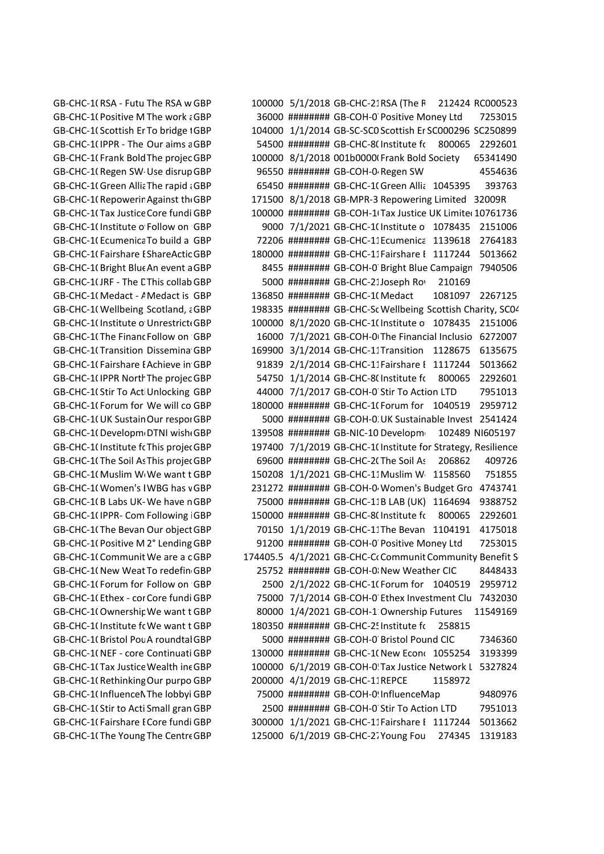GB-CHC-1(RSA - Futu The RSA w GBP 100000 5/1/2018 GB-CHC-21RSA (The F 212424 RC000523 GB-CHC-1(Positive M The work ¿ GBP 36000 ######## GB-COH-0 Positive Money Ltd 7253015 GB-CHC-1(Scottish Er To bridge 1GBP 104000 1/1/2014 GB-SC-SC0 Scottish Er SC000296 SC250899 GB-CHC-1(IPPR - The Our aims a GBP 54500 ######## GB-CHC-8(Institute for 800065 2292601 GB-CHC-1(Frank Bold The projec GBP 100000 8/1/2018 001b0000(Frank Bold Society 65341490 GB-CHC-1(Regen SW·Use disrup GBP 96550 ######## GB-COH-0 Regen SW 4554636 GB-CHC-1(Green Allia The rapid a GBP 65450 ######## GB-CHC-1(Green Allia 1045395 393763 GB-CHC-1(Repowerir Against th GBP 171500 8/1/2018 GB-MPR-3 Repowering Limited 32009R GB-CHC-1(Tax Justice Core fundi GBP 100000 ######## GB-COH-1(Tax Justice UK Limited10761736 GB-CHC-1(Institute o Follow on GBP 9000 7/1/2021 GB-CHC-1(Institute o 1078435 2151006 GB-CHC-1(Ecumenica To build a GBP 72206 ######## GB-CHC-11Ecumenica 1139618 2764183 GB-CHC-1(Fairshare I ShareActic GBP 180000 ######## GB-CHC-11Fairshare I 1117244 5013662 GB-CHC-1(Bright Blue An event a GBP 8455 ######## GB-COH-0 Bright Blue Campaign 7940506 GB-CHC-1(JRF - The LThis collab GBP 5000 ######## GB-CHC-21Joseph Ro 210169 GB-CHC-1(Medact - A Medact is GBP and 136850 ######## GB-CHC-1(Medact 1081097 2267125 GB-CHC-1(Wellbeing Scotland, aGBP and 198335 ######## GB-CHC-Sc Wellbeing Scottish Charity, SC04 GB-CHC-1(Institute o Unrestrict(GBP 100000 8/1/2020 GB-CHC-1(Institute o 1078435 2151006 GB-CHC-1(The Financ Follow on GBP 16000 7/1/2021 GB-COH-0 The Financial Inclusio 6272007 GB-CHC-1(Transition Dissemina GBP 169900 3/1/2014 GB-CHC-11Transition 1128675 6135675 GB-CHC-1(Fairshare I Achieve in GBP 91839 2/1/2014 GB-CHC-11Fairshare I 1117244 5013662 GB-CHC-1(IPPR North The projec GBP 54750 1/1/2014 GB-CHC-8(Institute for 800065 2292601 GB-CHC-1(Stir To Act Unlocking GBP 44000 7/1/2017 GB-COH-0 Stir To Action LTD 7951013 GB-CHC-1(Forum for We will co GBP 180000 ######## GB-CHC-1(Forum for 1040519 2959712 GB-CHC-1(UK Sustain Our respoi GBP 5000 ######## GB-COH-0. UK Sustainable Invest 2541424 GB-CHC-1(Developm<sub>'</sub>DTNI wish(GBP 139508 ####### GB-NIC-10 Developm 102489 NI605197 GB-CHC-1(Institute fcThis projec GBP 197400 7/1/2019 GB-CHC-1(Institute for Strategy, Resilience GB-CHC-1(The Soil As This projec GBP 69600 ####### GB-CHC-2(The Soil As 206862 409726 GB-CHC-1( Muslim W We want t GBP 150208 1/1/2021 GB-CHC-11 Muslim W 1158560 751855 GB-CHC-1(Women's IWBG has vGBP 231272 ######## GB-COH-0 Women's Budget Gro 4743741 GB-CHC-1(B Labs UK-We have nGBP 75000 ######## GB-CHC-11B LAB (UK) 1164694 9388752 GB-CHC-1(IPPR- Com Following GBP 150000 ######## GB-CHC-8(Institute f( 800065 2292601 GB-CHC-1(The Bevan Our object GBP 70150 1/1/2019 GB-CHC-11The Bevan 1104191 4175018 GB-CHC-1(Positive M 2° Lending GBP 31200 ######## GB-COH-0 Positive Money Ltd 7253015 GB-CHC-1( Communit We are a c GBP and 174405.5 4/1/2021 GB-CHC-CoCommunit Community Benefit S GB-CHC-1(New Weat To redefin GBP 25752 ######## GB-COH-0: New Weather CIC 8448433 GB-CHC-1(Forum for Follow on GBP 2500 2/1/2022 GB-CHC-1(Forum for 1040519 2959712 GB-CHC-10 Ethex - cor Core fundi GBP 75000 7/1/2014 GB-COH-0 Ethex Investment Clu 7432030 GB-CHC-1(Ownershir We want t GBP 60000 1/4/2021 GB-COH-1 Ownership Futures 11549169 GB-CHC-1(Institute fc We want t GBP and 180350 ######## GB-CHC-2! Institute fc 258815 GB-CHC-1(Bristol Pou A roundtal GBP 5000 ######## GB-COH-0 Bristol Pound CIC 7346360 GB-CHC-1(NEF - core Continuati GBP 130000 ######## GB-CHC-1(New Economics 1055254 3193399 GB-CHC-1(Tax Justice Wealth inc GBP 100000 6/1/2019 GB-COH-0!Tax Justice Network L 5327824 GB-CHC-1(Rethinking Our purpo GBP 200000 4/1/2019 GB-CHC-11REPCE 1158972 GB-CHC-1(InfluenceNThe lobbyi GBP 75000 ######## GB-COH-0!InfluenceMap 9480976 GB-CHC-10 Stir to Acti Small gran GBP 2500 ######## GB-COH-0 Stir To Action LTD 7951013 GB-CHC-1(Fairshare I Core fundi GBP 300000 1/1/2021 GB-CHC-11Fairshare I 1117244 5013662 GB-CHC-1(The Young The Centre GBP 125000 6/1/2019 GB-CHC-27 Young Fou 274345 1319183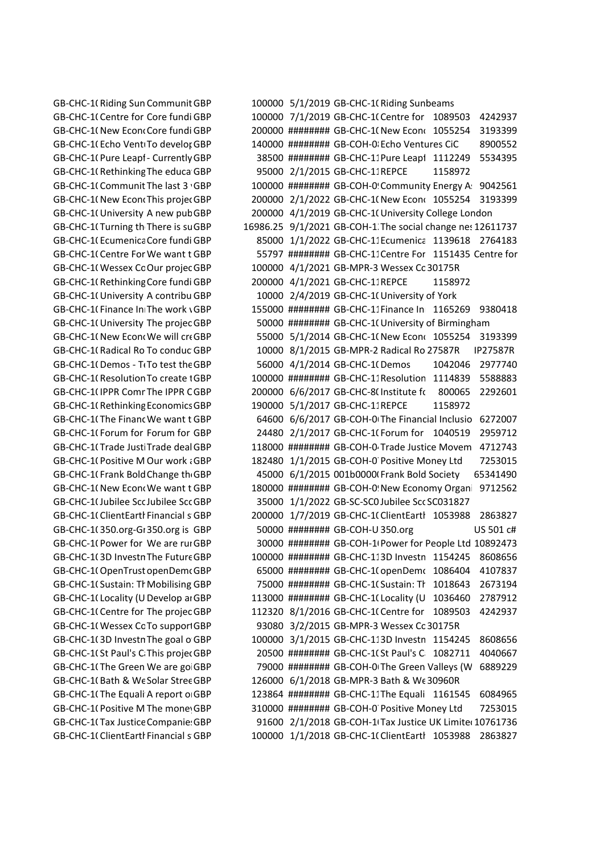GB-CHC-1(Riding Sun Communit GBP 100000 5/1/2019 GB-CHC-1(Riding Sunbeams GB-CHC-1(Centre for Core fundi GBP 100000 7/1/2019 GB-CHC-1(Centre for 1089503 4242937 GB-CHC-1(New Econo Core fundi GBP 200000 ######## GB-CHC-1(New Economics 1055254 3193399 GB-CHC-1(Echo VentiTo develor GBP 140000 ######## GB-COH-0 Echo Ventures CiC 8900552 GB-CHC-1(Pure Leap1- Currently GBP 38500 ######## GB-CHC-11Pure Leap1 1112249 5534395 GB-CHC-10 Rethinking The educa GBP 95000 2/1/2015 GB-CHC-11 REPCE 1158972 GB-CHC-1(Communit The last 3 · GBP 100000 ######## GB-COH-0! Community Energy A: 9042561 GB-CHC-1(New Econ(This proje(GBP 200000 2/1/2022 GB-CHC-1(New Econ( 1055254 3193399 GB-CHC-1(University A new pubGBP 200000 4/1/2019 GB-CHC-1(University College London GB-CHC-1(Turning th There is su GBP 16986.25 9/1/2021 GB-COH-1. The social change nes 12611737 GB-CHC-1(Ecumenica Core fundi GBP 85000 1/1/2022 GB-CHC-11Ecumenica 1139618 2764183 GB-CHC-1(Centre For We want t GBP 65797 ######### GB-CHC-11Centre For 1151435 Centre for GB-CHC-1(Wessex Cc Our projec GBP 100000 4/1/2021 GB-MPR-3 Wessex Cc 30175R GB-CHC-10 Rethinking Core fundi GBP 200000 4/1/2021 GB-CHC-11REPCE 1158972 GB-CHC-1(University A contribu GBP 10000 2/4/2019 GB-CHC-1(University of York GB-CHC-1(Finance In The work \GBP 155000 ######## GB-CHC-11Finance In 1165269 9380418 GB-CHC-1(University The projec GBP 60000 ######### GB-CHC-1(University of Birmingham GB-CHC-1(New Econ(We will cr(GBP 55000 5/1/2014 GB-CHC-1(New Econ( 1055254 3193399 GB-CHC-1(Radical Ro To conduc GBP 10000 8/1/2015 GB-MPR-2 Radical Ro 27587R IP27587R GB-CHC-1(Demos - T(To test the GBP 56000 4/1/2014 GB-CHC-1(Demos 1042046 2977740 GB-CHC-1(Resolution To create 1GBP 100000 ######## GB-CHC-11Resolution 1114839 5588883 GB-CHC-1(IPPR Comr The IPPR C GBP 200000 6/6/2017 GB-CHC-8(Institute f( 800065 2292601 GB-CHC-1( Rethinking Economics GBP 190000 5/1/2017 GB-CHC-11REPCE 1158972 GB-CHC-1(The Financ We want t GBP 64600 6/6/2017 GB-COH-0 The Financial Inclusio 6272007 GB-CHC-1(Forum for Forum for GBP 24480 2/1/2017 GB-CHC-1(Forum for 1040519 2959712 GB-CHC-1(Trade Justi Trade deal GBP and 118000 ######## GB-COH-0 Trade Justice Movem 4712743 GB-CHC-1(Positive M Our work ¿GBP 182480 1/1/2015 GB-COH-0 Positive Money Ltd 7253015 GB-CHC-1(Frank Bold Change the GBP 45000 6/1/2015 001b0000(Frank Bold Society 65341490 GB-CHC-1(New Econ(We want t GBP and 180000 ######## GB-COH-0!New Economy Organi 9712562 GB-CHC-1(Jubilee SccJubilee SccGBP 35000 1/1/2022 GB-SC-SC0Jubilee SccSC031827 GB-CHC-1(ClientEartl Financial s GBP 200000 1/7/2019 GB-CHC-1(ClientEartl 1053988 2863827 GB-CHC-1(350.org-G1350.org is GBP 50000 ######## GB-COH-U350.org US 501 c# GB-CHC-1(Power for We are rui GBP 30000 ######## GB-COH-1I Power for People Ltd 10892473 GB-CHC-1(3D Investn The Future GBP 100000 ######## GB-CHC-113D Investn 1154245 8608656 GB-CHC-1(OpenTrust openDem(GBP 65000 ######## GB-CHC-1(openDem( 1086404 4107837 GB-CHC-1(Sustain: Th Mobilising GBP 75000 ######## GB-CHC-1(Sustain: Th 1018643 2673194 GB-CHC-1(Locality (U Develop ai GBP and El 113000 ######## GB-CHC-1(Locality (U 2036460 2787912 GB-CHC-1( Centre for The projec GBP 112320 8/1/2016 GB-CHC-1( Centre for 1089503 4242937 GB-CHC-1(Wessex Cc To support GBP 93080 3/2/2015 GB-MPR-3 Wessex Cc 30175R GB-CHC-1(3D Investn The goal o GBP 100000 3/1/2015 GB-CHC-113D Investn 1154245 8608656 GB-CHC-1(St Paul's C This projec GBP 20500 ######## GB-CHC-1(St Paul's C 1082711 4040667 GB-CHC-1(The Green We are go GBP 79000 ######## GB-COH-0(The Green Valleys (W 6889229 GB-CHC-1(Bath & We Solar Stree GBP 126000 6/1/2018 GB-MPR-3 Bath & We 30960R GB-CHC-1(The Equali A report o GBP and 123864 ######## GB-CHC-11The Equali 1161545 6084965 GB-CHC-1(Positive M The mone GBP 310000 ######## GB-COH-0 Positive Money Ltd 7253015 GB-CHC-1(Tax Justice Companie: GBP 91600 2/1/2018 GB-COH-1(Tax Justice UK Limite( 10761736 GB-CHC-1(ClientEartl Financial s GBP 100000 1/1/2018 GB-CHC-1(ClientEartl 1053988 2863827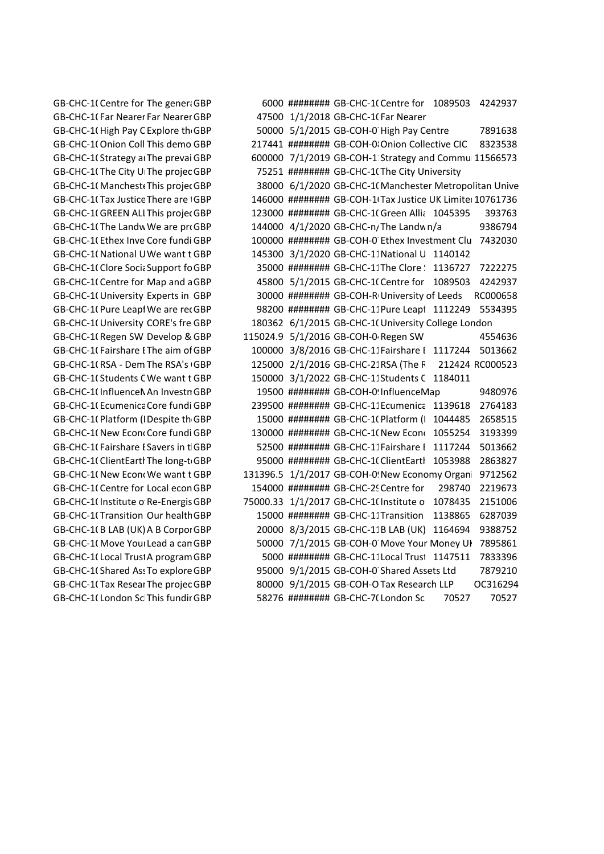GB-CHC-1(Centre for The gener GBP 6000 ######## GB-CHC-1(Centre for 1089503 4242937 GB-CHC-1(Far Nearer Far Nearer GBP 47500 1/1/2018 GB-CHC-1(Far Nearer GB-CHC-1(High Pay C Explore th GBP 50000 5/1/2015 GB-COH-0 High Pay Centre 7891638 GB-CHC-1(Onion Coll This demo GBP 217441 ####### GB-COH-0¦Onion Collective CIC 8323538 GB-CHC-1(Strategy ai The prevai GBP 600000 7/1/2019 GB-COH-1 Strategy and Commui 11566573 GB-CHC-1(The City UFThe projec GBP 75251 ####### GB-CHC-1(The City University GB-CHC-1(Manchest، This proje، GBP 38000 6/1/2020 GB-CHC-1(Manchester Metropolitan Unive GB-CHC-1(Tax Justice There are iGBP 146000 ######## GB-COH-1(Tax Justice UK Limite(10761736 GB-CHC-1(GREEN ALI This projec GBP 123000 ####### GB-CHC-1(Green Allic 1045395 393763 GB-CHC-1(The Landw We are pr‹GBP 144000 4/1/2020 GB-CHC-n/The Landw n/a 9386794 GB-CHC-1(Ethex Inve Core fundi GBP 100000 ######## GB-COH-0 Ethex Investment Clu 7432030 GB-CHC-1(National UWe want t GBP 145300 3/1/2020 GB-CHC-11National U 1140142 GB-CHC-10 Clore Socia Support for GBP 35000 ######## GB-CHC-11 The Clore Step 1136727 7222275 GB-CHC-1( Centre for Map and a GBP 45800 5/1/2015 GB-CHC-1( Centre for 1089503 4242937 GB-CHC-1(University Experts in GBP 30000 ######## GB-COH-R University of Leeds RC000658 GB-CHC-1(Pure Leapt We are rec GBP 98200 ######## GB-CHC-11Pure Leapt 1112249 5534395 GB-CHC-1(University CORE's fre GBP 180362 6/1/2015 GB-CHC-1(University College London GB-CHC-1(Regen SW Develop & GBP 115024.9 5/1/2016 GB-COH-0 Regen SW 4554636 GB-CHC-1(Fairshare I The aim of GBP 100000 3/8/2016 GB-CHC-11Fairshare I 1117244 5013662 GB-CHC-1(RSA - Dem The RSA's GBP 125000 2/1/2016 GB-CHC-21RSA (The F 212424 RC000523 GB-CHC-1(Students C We want t GBP  $150000 \frac{3}{12022}$  GB-CHC-11Students C 1184011 GB-CHC-1(Influence An Investn GBP 19500 ######## GB-COH-0! Influence Map 9480976 GB-CHC-1(Ecumenica Core fundi GBP 239500 ######## GB-CHC-11Ecumenica 1139618 2764183 GB-CHC-1087053-006b000000Kouak Platform (London) - Using municipal energy to tackle the fuel poverty crisis Despite the UK-wide policy enthusiasm for municipal energy, there's a gap in development work on how city energy can address fuel poverty. Municipal energy can foster local economies and tackle inequality, by investing into housing stock renewal, and introducing fairer tariffs. But the policy levers for this remain unclear. This project will deliver a targeted innovation process, involving key stakeholders and voices in developing viable and ambitious proposals. To that end, we will: (a) run policy roundtables, (b) bring in voices of communities and individuals in fuel poverty, (c) advise institutions, (d) conduct financial modelling, (e) disseminate learning. GBP15000 ######## GB-CHC-1044485 Platform (London) 1044485 2658515 GB-CHC-1(New EconoCore fundi GBP 130000 ######## GB-CHC-1(New Economics 1955254 3193399 GB-CHC-1(Fairshare I Savers in t GBP 692500 ######### GB-CHC-11Fairshare I 1117244 5013662 GB-CHC-1(ClientEartl The long-t GBP 695000 ######## GB-CHC-1(ClientEartl 1053988 2863827 GB-CHC-1(New Econ(We want t GBP and 131396.5 1/1/2017 GB-COH-0! New Economy Organi 9712562 GB-CHC-1(Centre for Local econ GBP 154000 ######## GB-CHC-2! Centre for 298740 2219673 GB-CHC-1(Institute o Re-Energis GBP 75000.33 1/1/2017 GB-CHC-1(Institute o 1078435 2151006 GB-CHC-1(Transition Our health GBP 15000 ######## GB-CHC-11Transition 1138865 6287039 GB-CHC-1(BLAB (UK) A B Corpor GBP 20000 8/3/2015 GB-CHC-11B LAB (UK) 1164694 9388752 GB-CHC-1(Move Your Lead a can GBP 50000 7/1/2015 GB-COH-0 Move Your Money UI 7895861 GB-CHC-1(Local TrustA program GBP 5000 ######## GB-CHC-11Local Trust 1147511 7833396 GB-CHC-1(Shared Ass To explore GBP 95000 9/1/2015 GB-COH-0 Shared Assets Ltd 7879210 GB-CHC-1(Tax Resear The projec GBP 80000 9/1/2015 GB-COH-O Tax Research LLP 0C316294 GB-CHC-1(London Sc This fundir GBP 58276 ######## GB-CHC-7(London Sc 70527 70527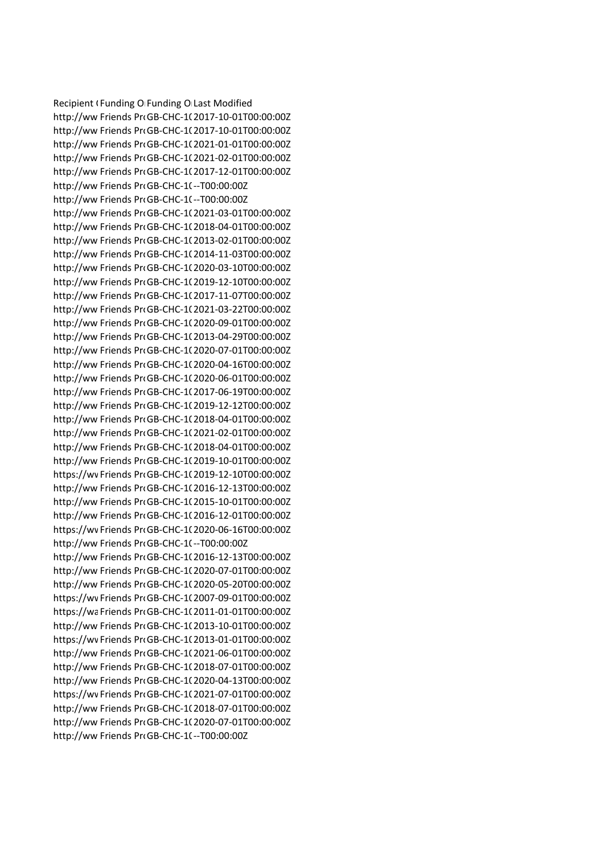Recipient (Funding O Funding O Last Modified http://ww Friends Pro GB-CHC-1(2017-10-01T00:00:00Z http://ww Friends ProGB-CHC-1(2017-10-01T00:00:00Z http://ww Friends Pro GB-CHC-10 2021-01-01T00:00:00Z http://ww Friends Pro GB-CHC-10 2021-02-01T00:00:00Z http://ww Friends ProGB-CHC-1(2017-12-01T00:00:00Z http://ww Friends ProGB-CHC-10--T00:00:00Z http://ww Friends ProGB-CHC-1(--T00:00:00Z http://ww Friends Pro GB-CHC-10 2021-03-01T00:00:00Z http://ww Friends ProGB-CHC-1(2018-04-01T00:00:00Z http://ww Friends Pro GB-CHC-10 2013-02-01T00:00:00Z http://ww Friends ProGB-CHC-1(2014-11-03T00:00:00Z http://ww Friends ProGB-CHC-1(2020-03-10T00:00:00Z http://ww Friends Pro GB-CHC-10 2019-12-10T00:00:00Z http://ww Friends Pro GB-CHC-10 2017-11-07T00:00:00Z http://ww Friends ProGB-CHC-1(2021-03-22T00:00:00Z http://ww Friends ProGB-CHC-1(2020-09-01T00:00:00Z http://ww Friends Pro GB-CHC-1(2013-04-29T00:00:00Z http://ww Friends ProGB-CHC-1(2020-07-01T00:00:00Z http://ww Friends Pro GB-CHC-10 2020-04-16T00:00:00Z http://ww Friends ProGB-CHC-1(2020-06-01T00:00:00Z http://ww Friends Pro GB-CHC-10 2017-06-19T00:00:00Z http://ww Friends ProGB-CHC-1(2019-12-12T00:00:00Z http://ww Friends ProGB-CHC-1(2018-04-01T00:00:00Z http://ww Friends Pro GB-CHC-1(2021-02-01T00:00:00Z http://ww Friends Pro GB-CHC-1(2018-04-01T00:00:00Z http://ww Friends ProGB-CHC-1(2019-10-01T00:00:00Z https://wv Friends Pro GB-CHC-1(2019-12-10T00:00:00Z http://ww Friends ProGB-CHC-1(2016-12-13T00:00:00Z http://ww Friends ProGB-CHC-1(2015-10-01T00:00:00Z http://ww Friends ProGB-CHC-1(2016-12-01T00:00:00Z https://wv Friends Pro GB-CHC-10 2020-06-16T00:00:00Z http://ww Friends ProGB-CHC-10-T00:00:00Z http://ww Friends ProGB-CHC-1(2016-12-13T00:00:00Z http://ww Friends ProGB-CHC-10 2020-07-01T00:00:00Z http://ww Friends ProGB-CHC-1(2020-05-20T00:00:00Z https://wv Friends Pro GB-CHC-1(2007-09-01T00:00:00Z https://waFriends ProGB-CHC-102011-01-01T00:00:00Z http://ww Friends Pro GB-CHC-10 2013-10-01T00:00:00Z https://wv Friends Pro GB-CHC-1(2013-01-01T00:00:00Z http://ww Friends ProGB-CHC-1(2021-06-01T00:00:00Z http://ww Friends ProGB-CHC-1(2018-07-01T00:00:00Z http://ww Friends ProGB-CHC-1(2020-04-13T00:00:00Z https://wv Friends Pro GB-CHC-10 2021-07-01T00:00:00Z http://ww Friends ProGB-CHC-102018-07-01T00:00:002 http://ww Friends Pro GB-CHC-10 2020-07-01T00:00:00Z http://ww Friends ProGB-CHC-1(--T00:00:00Z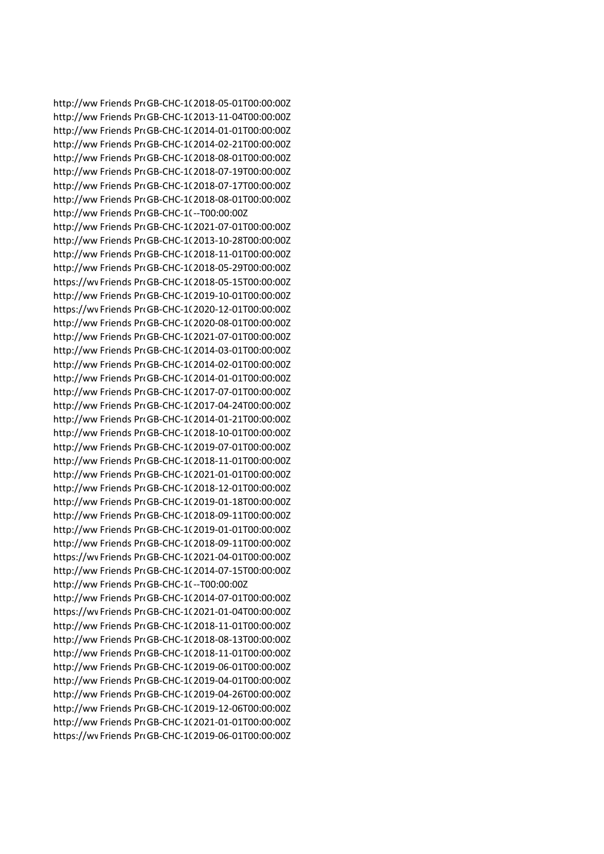http://ww Friends ProGB-CHC-1(2018-05-01T00:00:00Z http://ww Friends Pro GB-CHC-1(2013-11-04T00:00:00Z http://ww Friends ProGB-CHC-1(2014-01-01T00:00:00Z http://ww Friends ProGB-CHC-102014-02-21T00:00:00Z http://ww Friends Pro GB-CHC-10 2018-08-01T00:00:00Z http://ww Friends ProGB-CHC-1(2018-07-19T00:00:00Z http://ww Friends Pro GB-CHC-10 2018-07-17T00:00:00Z http://ww Friends ProGB-CHC-1(2018-08-01T00:00:00Z http://ww Friends ProGB-CHC-1(--T00:00:00Z http://ww Friends ProGB-CHC-1(2021-07-01T00:00:00Z http://ww Friends Pro GB-CHC-10 2013-10-28T00:00:00Z http://ww Friends ProGB-CHC-1(2018-11-01T00:00:00Z http://ww Friends ProGB-CHC-1(2018-05-29T00:00:00Z https://wv Friends Pro GB-CHC-10 2018-05-15T00:00:00Z http://ww Friends ProGB-CHC-1(2019-10-01T00:00:00Z https://wv Friends Pro GB-CHC-1(2020-12-01T00:00:00Z http://ww Friends ProGB-CHC-1(2020-08-01T00:00:00Z http://ww Friends ProGB-CHC-1(2021-07-01T00:00:00Z http://ww Friends Pro GB-CHC-10 2014-03-01T00:00:00Z http://ww Friends Pro GB-CHC-10 2014-02-01T00:00:00Z http://ww Friends ProGB-CHC-1(2014-01-01T00:00:00Z http://ww Friends Pro GB-CHC-10 2017-07-01T00:00:00Z http://ww Friends ProGB-CHC-1(2017-04-24T00:00:00Z http://ww Friends ProGB-CHC-1(2014-01-21T00:00:00Z http://ww Friends ProGB-CHC-1(2018-10-01T00:00:00Z http://ww Friends Pro GB-CHC-1(2019-07-01T00:00:00Z http://ww Friends ProGB-CHC-1(2018-11-01T00:00:00Z http://ww Friends Pro GB-CHC-1(2021-01-01T00:00:00Z http://ww Friends ProGB-CHC-1(2018-12-01T00:00:00Z http://ww Friends ProGB-CHC-1(2019-01-18T00:00:00Z http://ww Friends ProGB-CHC-1(2018-09-11T00:00:00Z http://ww Friends ProGB-CHC-1(2019-01-01T00:00:00Z http://ww Friends Pro GB-CHC-10 2018-09-11T00:00:00Z https://wv Friends Pro GB-CHC-1(2021-04-01T00:00:00Z http://ww Friends Pro GB-CHC-10 2014-07-15T00:00:00Z http://ww Friends ProGB-CHC-1(--T00:00:00Z http://ww Friends ProGB-CHC-1(2014-07-01T00:00:00Z https://wv Friends Pro GB-CHC-10 2021-01-04T00:00:00Z http://ww Friends Pro GB-CHC-10 2018-11-01T00:00:00Z http://ww Friends ProGB-CHC-1(2018-08-13T00:00:00Z http://ww Friends ProGB-CHC-1(2018-11-01T00:00:00Z http://ww Friends ProGB-CHC-1(2019-06-01T00:00:00Z http://ww Friends ProGB-CHC-1(2019-04-01T00:00:00Z http://ww Friends Pro GB-CHC-10 2019-04-26T00:00:00Z http://ww Friends ProGB-CHC-1(2019-12-06T00:00:00Z http://ww Friends Pro GB-CHC-10 2021-01-01T00:00:00Z https://wvFriends ProGB-CHC-1(2019-06-01T00:00:00Z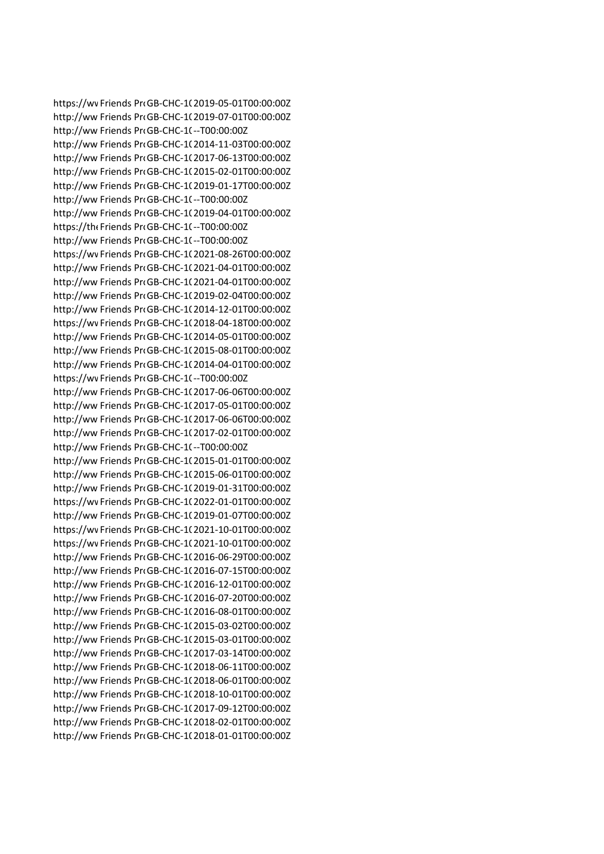https://wv Friends Pro GB-CHC-1(2019-05-01T00:00:00Z http://ww Friends Pro GB-CHC-1(2019-07-01T00:00:00Z http://ww Friends ProGB-CHC-1(--T00:00:00Z http://ww Friends Pro GB-CHC-10 2014-11-03T00:00:00Z http://ww Friends ProGB-CHC-1(2017-06-13T00:00:00Z http://ww Friends ProGB-CHC-1(2015-02-01T00:00:00Z http://ww Friends Pro GB-CHC-10 2019-01-17T00:00:00Z http://ww Friends ProGB-CHC-1(--T00:00:00Z http://ww Friends Pro GB-CHC-10 2019-04-01T00:00:00Z https://the Friends ProGB-CHC-10--T00:00:00Z http://ww Friends ProGB-CHC-1(--T00:00:00Z https://wv Friends Pro GB-CHC-1(2021-08-26T00:00:00Z http://ww Friends ProGB-CHC-1(2021-04-01T00:00:00Z http://ww Friends Pro GB-CHC-10 2021-04-01T00:00:00Z http://ww Friends Pro GB-CHC-10 2019-02-04T00:00:00Z http://ww Friends ProGB-CHC-1(2014-12-01T00:00:00Z https://wv Friends Pro GB-CHC-1(2018-04-18T00:00:00Z http://ww Friends ProGB-CHC-1(2014-05-01T00:00:00Z http://ww Friends Pro GB-CHC-1(2015-08-01T00:00:00Z http://ww Friends Pro GB-CHC-10 2014-04-01T00:00:00Z https://wvFriends ProGB-CHC-10--T00:00:00Z http://ww Friends ProGB-CHC-102017-06-06T00:00:00Z http://ww Friends ProGB-CHC-1(2017-05-01T00:00:00Z http://ww Friends ProGB-CHC-1(2017-06-06T00:00:00Z http://ww Friends Pro GB-CHC-1(2017-02-01T00:00:00Z http://ww Friends ProGB-CHC-1(--T00:00:00Z http://ww Friends ProGB-CHC-1(2015-01-01T00:00:00Z http://ww Friends Pro GB-CHC-1(2015-06-01T00:00:00Z http://ww Friends ProGB-CHC-1(2019-01-31T00:00:00Z https://wv Friends Pro GB-CHC-1(2022-01-01T00:00:00Z http://ww Friends ProGB-CHC-1(2019-01-07T00:00:00Z https://wv Friends ProGB-CHC-1(2021-10-01T00:00:00Z https://wv Friends Pro GB-CHC-10 2021-10-01T00:00:00Z http://ww Friends ProGB-CHC-1(2016-06-29T00:00:00Z http://ww Friends Pro GB-CHC-10 2016-07-15T00:00:00Z http://ww Friends ProGB-CHC-1(2016-12-01T00:00:00Z http://ww Friends ProGB-CHC-1(2016-07-20T00:00:00Z http://ww Friends Pro GB-CHC-10 2016-08-01T00:00:00Z http://ww Friends Pro GB-CHC-10 2015-03-02T00:00:00Z http://ww Friends ProGB-CHC-1(2015-03-01T00:00:00Z http://ww Friends Pro GB-CHC-1(2017-03-14T00:00:00Z http://ww Friends ProGB-CHC-1(2018-06-11T00:00:00Z http://ww Friends ProGB-CHC-1(2018-06-01T00:00:00Z http://ww Friends Pro GB-CHC-10 2018-10-01T00:00:00Z http://ww Friends ProGB-CHC-1(2017-09-12T00:00:00Z http://ww Friends Pro GB-CHC-10 2018-02-01T00:00:00Z http://ww Friends ProGB-CHC-1(2018-01-01T00:00:00Z